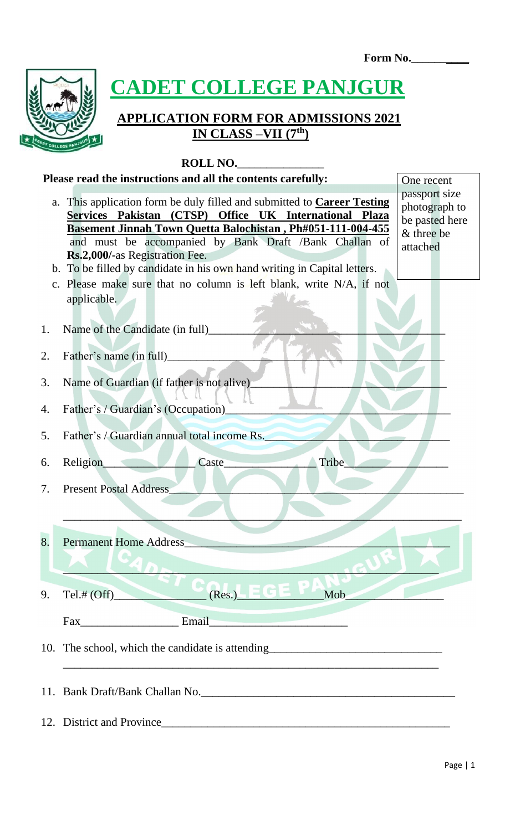**Form No.\_\_\_\_\_\_\_\_\_\_**



**CADET COLLEGE PANJGUR** 

# **APPLICATION FORM FOR ADMISSIONS 2021 IN CLASS –VII (7th)**

#### **ROLL NO.**\_\_\_\_\_\_\_\_\_\_\_\_\_\_\_

#### **Please read the instructions and all the contents carefully:** One recent

| a.       | This application form be duly filled and submitted to <b>Career Testing</b><br>Services Pakistan (CTSP) Office UK International Plaza<br><b>Basement Jinnah Town Quetta Balochistan, Ph#051-111-004-455</b><br>and must be accompanied by Bank Draft /Bank Challan of | passport size<br>photograph to<br>be pasted here<br>& three be<br>attached |
|----------|-----------------------------------------------------------------------------------------------------------------------------------------------------------------------------------------------------------------------------------------------------------------------|----------------------------------------------------------------------------|
|          | Rs.2,000/-as Registration Fee.<br>b. To be filled by candidate in his own hand writing in Capital letters.<br>c. Please make sure that no column is left blank, write N/A, if not<br>applicable.                                                                      |                                                                            |
| 1.<br>2. | Name of the Candidate (in full)<br>Father's name (in full)                                                                                                                                                                                                            |                                                                            |
| 3.<br>4. | Name of Guardian (if father is not alive)<br>Father's / Guardian's (Occupation)                                                                                                                                                                                       |                                                                            |
| 5.       | Father's / Guardian annual total income Rs.                                                                                                                                                                                                                           |                                                                            |
| 6.<br>7. | Caste_<br>Tribe<br><b>Religion</b><br><b>Present Postal Address</b>                                                                                                                                                                                                   |                                                                            |
| 8.       | <b>Permanent Home Address</b>                                                                                                                                                                                                                                         |                                                                            |
| 9.       | (Res.)<br>크더게<br>Mob<br>Tel.# $(Off)$                                                                                                                                                                                                                                 |                                                                            |
|          | Email<br>Fax<br>the contract of the contract of the contract of the contract of the contract of                                                                                                                                                                       |                                                                            |
|          | 10. The school, which the candidate is attending________________________________                                                                                                                                                                                      |                                                                            |
|          | 11. Bank Draft/Bank Challan No.                                                                                                                                                                                                                                       |                                                                            |
|          | 12. District and Province                                                                                                                                                                                                                                             |                                                                            |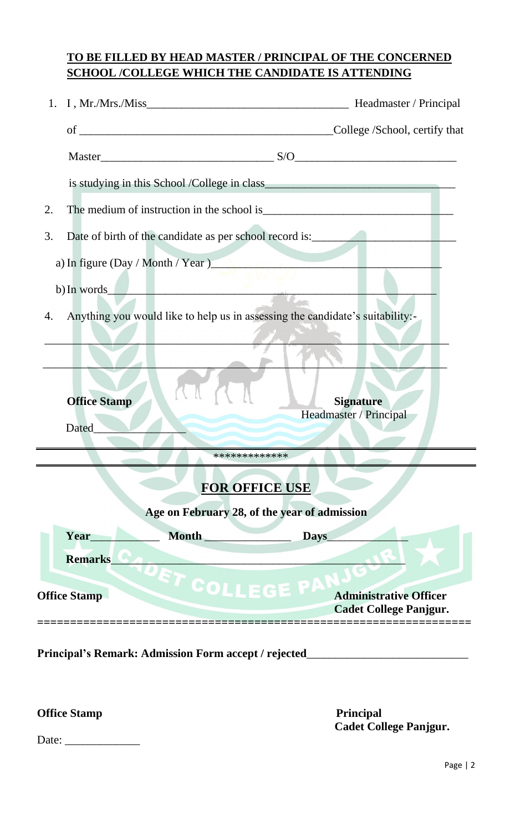### **TO BE FILLED BY HEAD MASTER / PRINCIPAL OF THE CONCERNED SCHOOL /COLLEGE WHICH THE CANDIDATE IS ATTENDING**

|                                                                                        |                                                                                                                           | $Master$                                                       |  |  |  |  |
|----------------------------------------------------------------------------------------|---------------------------------------------------------------------------------------------------------------------------|----------------------------------------------------------------|--|--|--|--|
|                                                                                        |                                                                                                                           |                                                                |  |  |  |  |
| 2.                                                                                     |                                                                                                                           |                                                                |  |  |  |  |
| 3.                                                                                     | Date of birth of the candidate as per school record is:<br><u>Date of birth of the candidate as per school record is:</u> |                                                                |  |  |  |  |
|                                                                                        | a) In figure (Day / Month / Year)                                                                                         |                                                                |  |  |  |  |
|                                                                                        | b) In words                                                                                                               |                                                                |  |  |  |  |
| Anything you would like to help us in assessing the candidate's suitability:-<br>4.    |                                                                                                                           |                                                                |  |  |  |  |
|                                                                                        |                                                                                                                           |                                                                |  |  |  |  |
| <b>Office Stamp</b><br>Dated                                                           |                                                                                                                           | <b>Signature</b><br>Headmaster / Principal                     |  |  |  |  |
|                                                                                        |                                                                                                                           |                                                                |  |  |  |  |
| *************<br><b>FOR OFFICE USE</b><br>Age on February 28, of the year of admission |                                                                                                                           |                                                                |  |  |  |  |
| Year                                                                                   | Month                                                                                                                     | Days                                                           |  |  |  |  |
| <b>Remarks</b>                                                                         |                                                                                                                           |                                                                |  |  |  |  |
| <b>Office Stamp</b>                                                                    | DET COLLEGE PA                                                                                                            | <b>Administrative Officer</b><br><b>Cadet College Panjgur.</b> |  |  |  |  |

**Principal's Remark: Admission Form accept / rejected**\_\_\_\_\_\_\_\_\_\_\_\_\_\_\_\_\_\_\_\_\_\_\_\_\_\_\_\_

**Office Stamp Principal** 

 **Cadet College Panjgur.**

Date: \_\_\_\_\_\_\_\_\_\_\_\_\_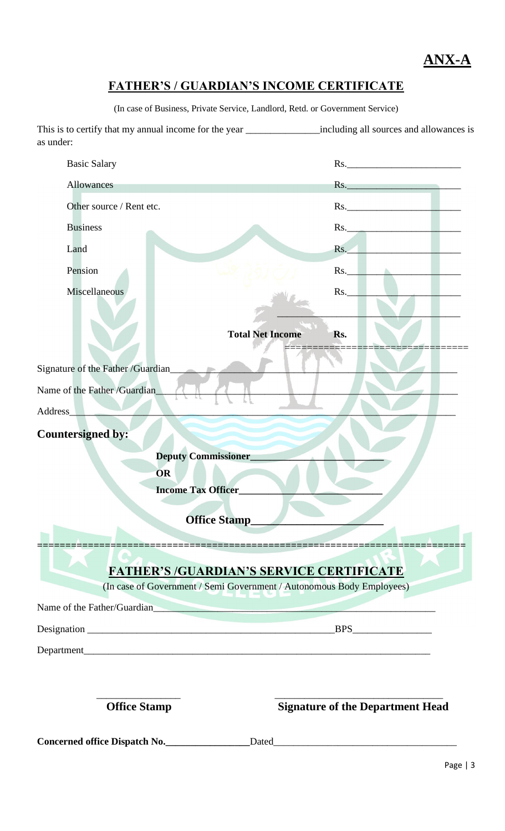**ANX-A**

# **FATHER'S / GUARDIAN'S INCOME CERTIFICATE**

(In case of Business, Private Service, Landlord, Retd. or Government Service)

This is to certify that my annual income for the year \_\_\_\_\_\_\_\_\_\_\_\_\_\_\_\_including all sources and allowances is as under:

| <b>Basic Salary</b>                 |                                                                                                                          |                                         | Rs.                                     |
|-------------------------------------|--------------------------------------------------------------------------------------------------------------------------|-----------------------------------------|-----------------------------------------|
| <b>Allowances</b>                   |                                                                                                                          |                                         | Rs.                                     |
| Other source / Rent etc.            |                                                                                                                          |                                         | $\text{Rs.}$ $\qquad \qquad$            |
| <b>Business</b>                     |                                                                                                                          |                                         | Rs.                                     |
| Land                                |                                                                                                                          | Rs.                                     |                                         |
| Pension                             |                                                                                                                          | Rs.                                     |                                         |
| Miscellaneous                       |                                                                                                                          | Rs.                                     |                                         |
| Signature of the Father / Guardian_ | <b>Total Net Income</b>                                                                                                  | Rs.                                     |                                         |
| Name of the Father /Guardian_       |                                                                                                                          |                                         |                                         |
| Address                             |                                                                                                                          |                                         |                                         |
|                                     | <b>Deputy Commissioner</b><br>OR<br><b>Income Tax Officer_</b><br><b>Office Stamp</b>                                    |                                         |                                         |
|                                     | <b>FATHER'S /GUARDIAN'S SERVICE CERTIFICATE</b><br>(In case of Government / Semi Government / Autonomous Body Employees) |                                         |                                         |
|                                     | Name of the Father/Guardian                                                                                              |                                         |                                         |
|                                     |                                                                                                                          |                                         |                                         |
|                                     |                                                                                                                          |                                         |                                         |
|                                     |                                                                                                                          |                                         |                                         |
| <b>Office Stamp</b>                 |                                                                                                                          |                                         | <b>Signature of the Department Head</b> |
| Concerned office Dispatch No.       |                                                                                                                          | Dated <b>Exercise Services CONSUMER</b> |                                         |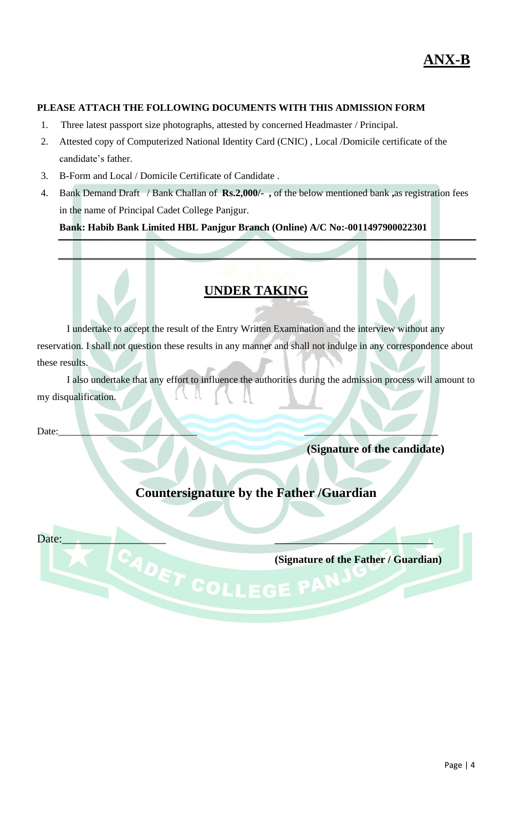#### **PLEASE ATTACH THE FOLLOWING DOCUMENTS WITH THIS ADMISSION FORM**

- 1. Three latest passport size photographs, attested by concerned Headmaster / Principal.
- 2. Attested copy of Computerized National Identity Card (CNIC) , Local /Domicile certificate of the candidate's father.
- 3. B-Form and Local / Domicile Certificate of Candidate .
- 4. Bank Demand Draft / Bank Challan of **Rs.2,000/- ,** of the below mentioned bank **,**as registration fees in the name of Principal Cadet College Panjgur.

**Bank: Habib Bank Limited HBL Panjgur Branch (Online) A/C No:-0011497900022301**

#### **UNDER TAKING**

I undertake to accept the result of the Entry Written Examination and the interview without any reservation. I shall not question these results in any manner and shall not indulge in any correspondence about these results.

I also undertake that any effort to influence the authorities during the admission process will amount to my disqualification.

Date:\_\_\_\_\_\_\_\_\_\_\_\_\_\_\_\_\_\_\_\_\_\_\_\_\_\_\_\_ \_\_\_\_\_\_\_\_\_\_\_\_\_\_\_\_\_\_\_\_\_\_\_\_\_\_\_

**(Signature of the candidate)**

## **Countersignature by the Father /Guardian**

Date:\_\_\_\_\_\_\_\_\_\_\_\_\_\_\_\_\_\_ \_\_\_\_\_\_\_\_\_\_\_\_\_\_\_\_\_\_\_\_\_\_\_\_

**(Signature of the Father / Guardian)**<br> **COLLEGE PARKING**